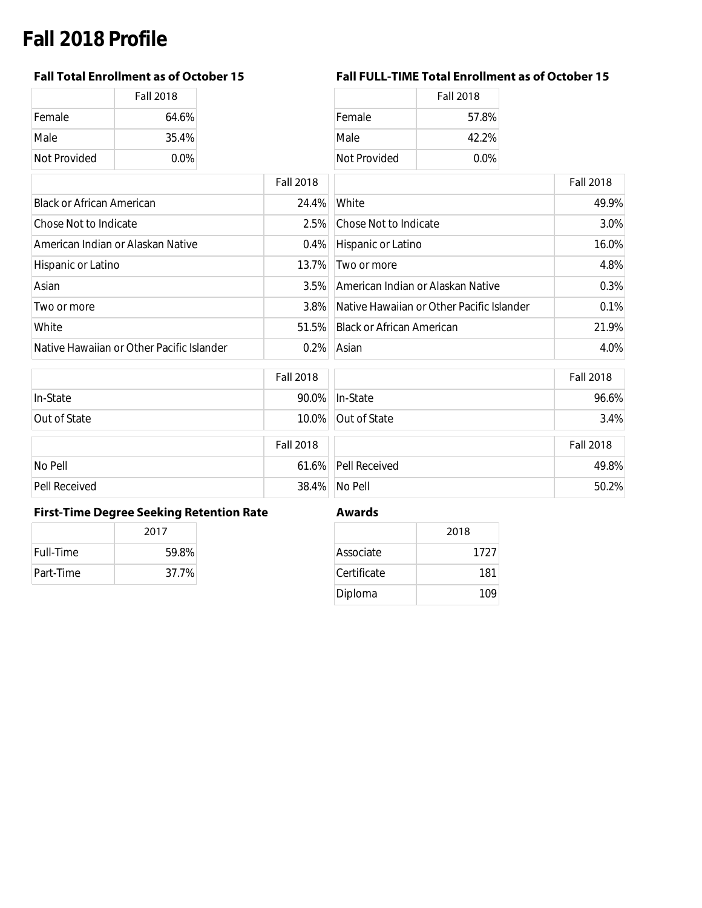# **Fall 2018 Profile**

|              | <b>Fall 2018</b> |
|--------------|------------------|
| Female       | 64.6%            |
| Male         | 35.4%            |
| Not Provided | 0.0%             |

### **Fall Total Enrollment as of October 15 Fall FULL-TIME Total Enrollment as of October 15**

|              | <b>Fall 2018</b> |
|--------------|------------------|
| Female       | 64.6%            |
| Male         | $35.4\%$         |
| Not Provided | $0.0\%$          |

|                                           | <b>Fall 2018</b> |                                           | <b>Fall 2018</b> |
|-------------------------------------------|------------------|-------------------------------------------|------------------|
| <b>Black or African American</b>          | 24.4%            | White                                     | 49.9%            |
| Chose Not to Indicate                     | 2.5%             | Chose Not to Indicate                     | 3.0%             |
| American Indian or Alaskan Native         | $0.4\%$          | Hispanic or Latino                        | 16.0%            |
| Hispanic or Latino                        | 13.7%            | Two or more                               | 4.8%             |
| Asian                                     | $3.5\%$          | American Indian or Alaskan Native         | 0.3%             |
| Two or more                               | $3.8\%$          | Native Hawaiian or Other Pacific Islander | 0.1%             |
| White                                     | 51.5%            | <b>Black or African American</b>          | 21.9%            |
| Native Hawaiian or Other Pacific Islander | $0.2\%$          | Asian                                     | 4.0%             |

|               | <b>Fall 2018</b> |                     | <b>Fall 2018</b> |
|---------------|------------------|---------------------|------------------|
| In-State      | 90.0%            | In-State            | 96.6%            |
| Out of State  |                  | 10.0% Out of State  | 3.4%             |
|               | <b>Fall 2018</b> |                     | <b>Fall 2018</b> |
| No Pell       |                  | 61.6% Pell Received | 49.8%            |
| Pell Received | 38.4%            | No Pell             | 50.2%            |

### **First-Time Degree Seeking Retention Rate Awards**

|                  | 2017  |  |
|------------------|-------|--|
| <b>Full-Time</b> | 59.8% |  |
| Part-Time        | 37.7% |  |

|             | 2018 |
|-------------|------|
| Associate   | 1727 |
| Certificate | 181  |
| Diploma     | 109  |